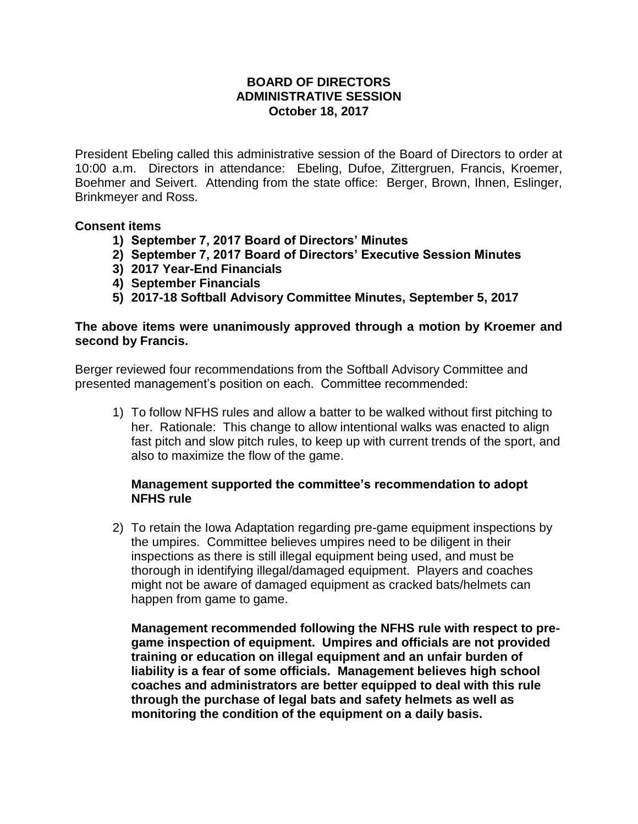### **BOARD OF DIRECTORS ADMINISTRATIVE SESSION October 18, 2017**

President Ebeling called this administrative session of the Board of Directors to order at 10:00 a.m. Directors in attendance: Ebeling, Dufoe, Zittergruen, Francis, Kroemer, Boehmer and Seivert. Attending from the state office: Berger, Brown, Ihnen, Eslinger, Brinkmeyer and Ross.

## **Consent items**

- **1) September 7, 2017 Board of Directors' Minutes**
- **2) September 7, 2017 Board of Directors' Executive Session Minutes**
- **3) 2017 Year-End Financials**
- **4) September Financials**
- **5) 2017-18 Softball Advisory Committee Minutes, September 5, 2017**

#### **The above items were unanimously approved through a motion by Kroemer and second by Francis.**

Berger reviewed four recommendations from the Softball Advisory Committee and presented management's position on each. Committee recommended:

1) To follow NFHS rules and allow a batter to be walked without first pitching to her. Rationale: This change to allow intentional walks was enacted to align fast pitch and slow pitch rules, to keep up with current trends of the sport, and also to maximize the flow of the game.

## **Management supported the committee's recommendation to adopt NFHS rule**

2) To retain the Iowa Adaptation regarding pre-game equipment inspections by the umpires. Committee believes umpires need to be diligent in their inspections as there is still illegal equipment being used, and must be thorough in identifying illegal/damaged equipment. Players and coaches might not be aware of damaged equipment as cracked bats/helmets can happen from game to game.

**Management recommended following the NFHS rule with respect to pregame inspection of equipment. Umpires and officials are not provided training or education on illegal equipment and an unfair burden of liability is a fear of some officials. Management believes high school coaches and administrators are better equipped to deal with this rule through the purchase of legal bats and safety helmets as well as monitoring the condition of the equipment on a daily basis.**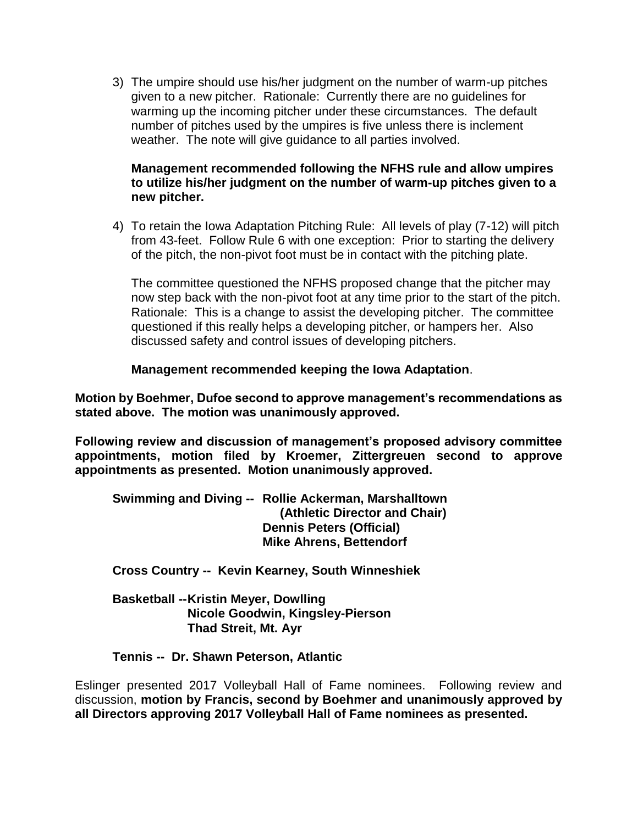3) The umpire should use his/her judgment on the number of warm-up pitches given to a new pitcher. Rationale: Currently there are no guidelines for warming up the incoming pitcher under these circumstances. The default number of pitches used by the umpires is five unless there is inclement weather. The note will give guidance to all parties involved.

# **Management recommended following the NFHS rule and allow umpires to utilize his/her judgment on the number of warm-up pitches given to a new pitcher.**

4) To retain the Iowa Adaptation Pitching Rule: All levels of play (7-12) will pitch from 43-feet. Follow Rule 6 with one exception: Prior to starting the delivery of the pitch, the non-pivot foot must be in contact with the pitching plate.

The committee questioned the NFHS proposed change that the pitcher may now step back with the non-pivot foot at any time prior to the start of the pitch. Rationale: This is a change to assist the developing pitcher. The committee questioned if this really helps a developing pitcher, or hampers her. Also discussed safety and control issues of developing pitchers.

**Management recommended keeping the Iowa Adaptation**.

**Motion by Boehmer, Dufoe second to approve management's recommendations as stated above. The motion was unanimously approved.**

**Following review and discussion of management's proposed advisory committee appointments, motion filed by Kroemer, Zittergreuen second to approve appointments as presented. Motion unanimously approved.** 

**Swimming and Diving -- Rollie Ackerman, Marshalltown (Athletic Director and Chair) Dennis Peters (Official) Mike Ahrens, Bettendorf**

**Cross Country -- Kevin Kearney, South Winneshiek**

**Basketball --Kristin Meyer, Dowlling Nicole Goodwin, Kingsley-Pierson Thad Streit, Mt. Ayr**

**Tennis -- Dr. Shawn Peterson, Atlantic**

Eslinger presented 2017 Volleyball Hall of Fame nominees. Following review and discussion, **motion by Francis, second by Boehmer and unanimously approved by all Directors approving 2017 Volleyball Hall of Fame nominees as presented.**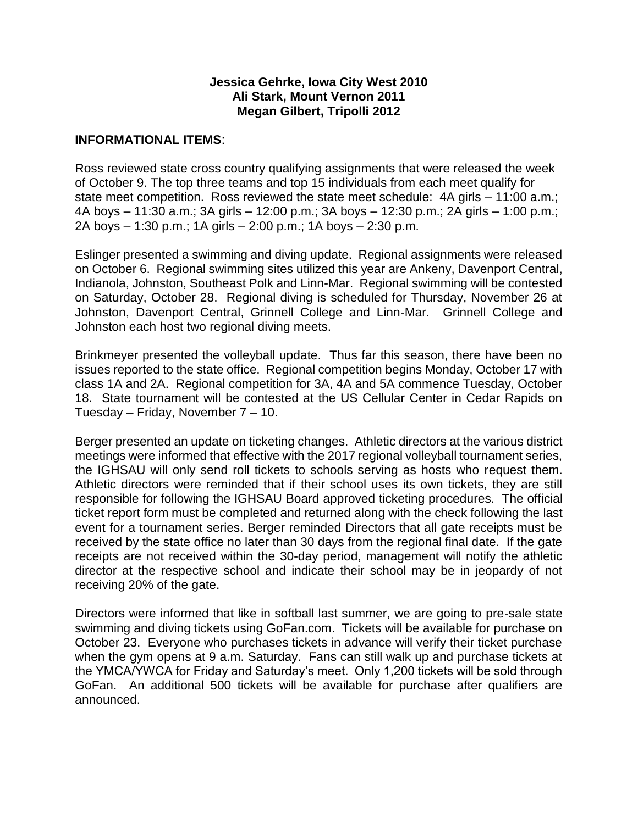#### **Jessica Gehrke, Iowa City West 2010 Ali Stark, Mount Vernon 2011 Megan Gilbert, Tripolli 2012**

#### **INFORMATIONAL ITEMS**:

Ross reviewed state cross country qualifying assignments that were released the week of October 9. The top three teams and top 15 individuals from each meet qualify for state meet competition. Ross reviewed the state meet schedule: 4A girls – 11:00 a.m.; 4A boys – 11:30 a.m.; 3A girls – 12:00 p.m.; 3A boys – 12:30 p.m.; 2A girls – 1:00 p.m.; 2A boys – 1:30 p.m.; 1A girls – 2:00 p.m.; 1A boys – 2:30 p.m.

Eslinger presented a swimming and diving update. Regional assignments were released on October 6. Regional swimming sites utilized this year are Ankeny, Davenport Central, Indianola, Johnston, Southeast Polk and Linn-Mar. Regional swimming will be contested on Saturday, October 28. Regional diving is scheduled for Thursday, November 26 at Johnston, Davenport Central, Grinnell College and Linn-Mar. Grinnell College and Johnston each host two regional diving meets.

Brinkmeyer presented the volleyball update. Thus far this season, there have been no issues reported to the state office. Regional competition begins Monday, October 17 with class 1A and 2A. Regional competition for 3A, 4A and 5A commence Tuesday, October 18. State tournament will be contested at the US Cellular Center in Cedar Rapids on Tuesday – Friday, November 7 – 10.

Berger presented an update on ticketing changes. Athletic directors at the various district meetings were informed that effective with the 2017 regional volleyball tournament series, the IGHSAU will only send roll tickets to schools serving as hosts who request them. Athletic directors were reminded that if their school uses its own tickets, they are still responsible for following the IGHSAU Board approved ticketing procedures. The official ticket report form must be completed and returned along with the check following the last event for a tournament series. Berger reminded Directors that all gate receipts must be received by the state office no later than 30 days from the regional final date. If the gate receipts are not received within the 30-day period, management will notify the athletic director at the respective school and indicate their school may be in jeopardy of not receiving 20% of the gate.

Directors were informed that like in softball last summer, we are going to pre-sale state swimming and diving tickets using GoFan.com. Tickets will be available for purchase on October 23. Everyone who purchases tickets in advance will verify their ticket purchase when the gym opens at 9 a.m. Saturday. Fans can still walk up and purchase tickets at the YMCA/YWCA for Friday and Saturday's meet. Only 1,200 tickets will be sold through GoFan. An additional 500 tickets will be available for purchase after qualifiers are announced.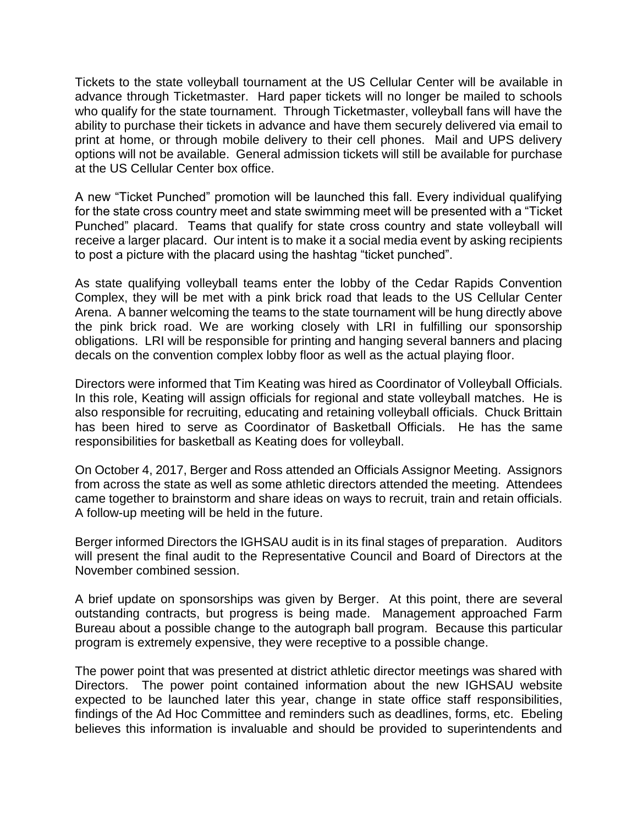Tickets to the state volleyball tournament at the US Cellular Center will be available in advance through Ticketmaster. Hard paper tickets will no longer be mailed to schools who qualify for the state tournament. Through Ticketmaster, volleyball fans will have the ability to purchase their tickets in advance and have them securely delivered via email to print at home, or through mobile delivery to their cell phones. Mail and UPS delivery options will not be available. General admission tickets will still be available for purchase at the US Cellular Center box office.

A new "Ticket Punched" promotion will be launched this fall. Every individual qualifying for the state cross country meet and state swimming meet will be presented with a "Ticket Punched" placard. Teams that qualify for state cross country and state volleyball will receive a larger placard. Our intent is to make it a social media event by asking recipients to post a picture with the placard using the hashtag "ticket punched".

As state qualifying volleyball teams enter the lobby of the Cedar Rapids Convention Complex, they will be met with a pink brick road that leads to the US Cellular Center Arena. A banner welcoming the teams to the state tournament will be hung directly above the pink brick road. We are working closely with LRI in fulfilling our sponsorship obligations. LRI will be responsible for printing and hanging several banners and placing decals on the convention complex lobby floor as well as the actual playing floor.

Directors were informed that Tim Keating was hired as Coordinator of Volleyball Officials. In this role, Keating will assign officials for regional and state volleyball matches. He is also responsible for recruiting, educating and retaining volleyball officials. Chuck Brittain has been hired to serve as Coordinator of Basketball Officials. He has the same responsibilities for basketball as Keating does for volleyball.

On October 4, 2017, Berger and Ross attended an Officials Assignor Meeting. Assignors from across the state as well as some athletic directors attended the meeting. Attendees came together to brainstorm and share ideas on ways to recruit, train and retain officials. A follow-up meeting will be held in the future.

Berger informed Directors the IGHSAU audit is in its final stages of preparation. Auditors will present the final audit to the Representative Council and Board of Directors at the November combined session.

A brief update on sponsorships was given by Berger. At this point, there are several outstanding contracts, but progress is being made. Management approached Farm Bureau about a possible change to the autograph ball program. Because this particular program is extremely expensive, they were receptive to a possible change.

The power point that was presented at district athletic director meetings was shared with Directors. The power point contained information about the new IGHSAU website expected to be launched later this year, change in state office staff responsibilities, findings of the Ad Hoc Committee and reminders such as deadlines, forms, etc. Ebeling believes this information is invaluable and should be provided to superintendents and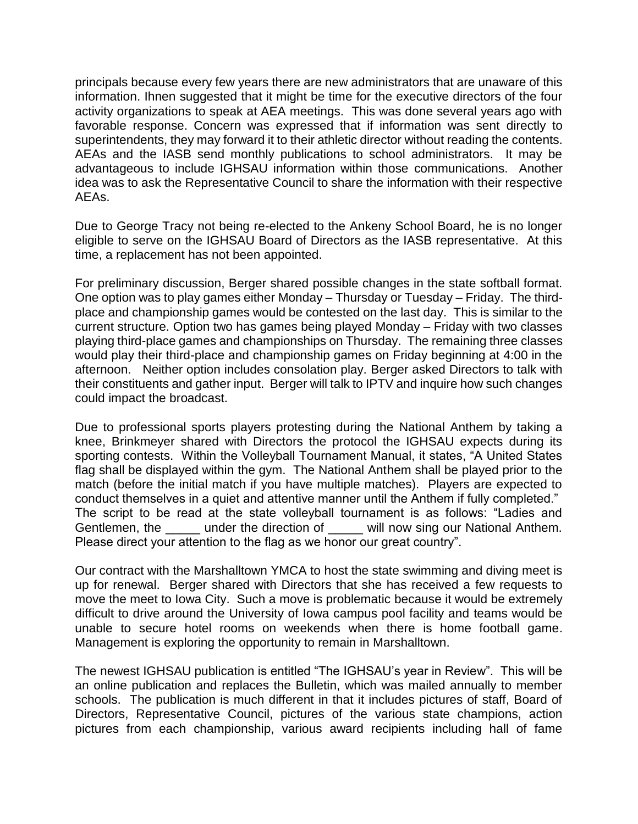principals because every few years there are new administrators that are unaware of this information. Ihnen suggested that it might be time for the executive directors of the four activity organizations to speak at AEA meetings. This was done several years ago with favorable response. Concern was expressed that if information was sent directly to superintendents, they may forward it to their athletic director without reading the contents. AEAs and the IASB send monthly publications to school administrators. It may be advantageous to include IGHSAU information within those communications. Another idea was to ask the Representative Council to share the information with their respective AEAs.

Due to George Tracy not being re-elected to the Ankeny School Board, he is no longer eligible to serve on the IGHSAU Board of Directors as the IASB representative. At this time, a replacement has not been appointed.

For preliminary discussion, Berger shared possible changes in the state softball format. One option was to play games either Monday – Thursday or Tuesday – Friday. The thirdplace and championship games would be contested on the last day. This is similar to the current structure. Option two has games being played Monday – Friday with two classes playing third-place games and championships on Thursday. The remaining three classes would play their third-place and championship games on Friday beginning at 4:00 in the afternoon. Neither option includes consolation play. Berger asked Directors to talk with their constituents and gather input. Berger will talk to IPTV and inquire how such changes could impact the broadcast.

Due to professional sports players protesting during the National Anthem by taking a knee, Brinkmeyer shared with Directors the protocol the IGHSAU expects during its sporting contests. Within the Volleyball Tournament Manual, it states, "A United States flag shall be displayed within the gym. The National Anthem shall be played prior to the match (before the initial match if you have multiple matches). Players are expected to conduct themselves in a quiet and attentive manner until the Anthem if fully completed." The script to be read at the state volleyball tournament is as follows: "Ladies and Gentlemen, the \_\_\_\_\_ under the direction of \_\_\_\_\_ will now sing our National Anthem. Please direct your attention to the flag as we honor our great country".

Our contract with the Marshalltown YMCA to host the state swimming and diving meet is up for renewal. Berger shared with Directors that she has received a few requests to move the meet to Iowa City. Such a move is problematic because it would be extremely difficult to drive around the University of Iowa campus pool facility and teams would be unable to secure hotel rooms on weekends when there is home football game. Management is exploring the opportunity to remain in Marshalltown.

The newest IGHSAU publication is entitled "The IGHSAU's year in Review". This will be an online publication and replaces the Bulletin, which was mailed annually to member schools. The publication is much different in that it includes pictures of staff, Board of Directors, Representative Council, pictures of the various state champions, action pictures from each championship, various award recipients including hall of fame